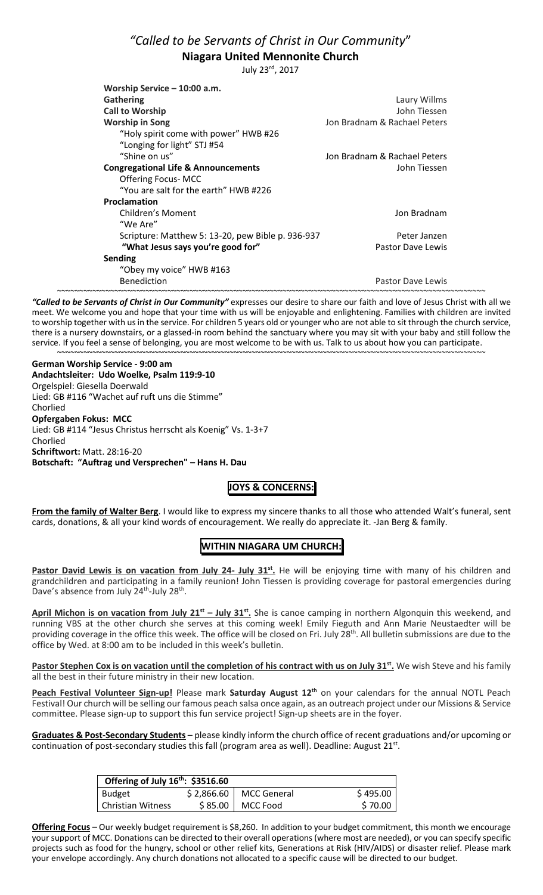# *"Called to be Servants of Christ in Our Community*" **Niagara United Mennonite Church**

July 23rd, 2017

| Worship Service - 10:00 a.m.                      |                              |
|---------------------------------------------------|------------------------------|
| <b>Gathering</b>                                  | Laury Willms                 |
| <b>Call to Worship</b>                            | John Tiessen                 |
| <b>Worship in Song</b>                            | Jon Bradnam & Rachael Peters |
| "Holy spirit come with power" HWB #26             |                              |
| "Longing for light" STJ #54                       |                              |
| "Shine on us"                                     | Jon Bradnam & Rachael Peters |
| <b>Congregational Life &amp; Announcements</b>    | John Tiessen                 |
| <b>Offering Focus-MCC</b>                         |                              |
| "You are salt for the earth" HWB #226             |                              |
| Proclamation                                      |                              |
| Children's Moment                                 | Jon Bradnam                  |
| "We Are"                                          |                              |
| Scripture: Matthew 5: 13-20, pew Bible p. 936-937 | Peter Janzen                 |
| "What Jesus says you're good for"                 | Pastor Dave Lewis            |
| Sending                                           |                              |
| "Obey my voice" HWB #163                          |                              |
| <b>Benediction</b>                                | <b>Pastor Dave Lewis</b>     |
|                                                   |                              |

~~~~~~~~~~~~~~~~~~~~~~~~~~~~~~~~~~~~~~~~~~~~~~~~~~~~~~~~~~~~~~~~~~~~~~~~~~~~~~~~~~~~~~~~~~~~~~~~~ *"Called to be Servants of Christ in Our Community"* expresses our desire to share our faith and love of Jesus Christ with all we meet. We welcome you and hope that your time with us will be enjoyable and enlightening. Families with children are invited to worship together with us in the service. For children 5 years old or younger who are not able to sit through the church service, there is a nursery downstairs, or a glassed-in room behind the sanctuary where you may sit with your baby and still follow the service. If you feel a sense of belonging, you are most welcome to be with us. Talk to us about how you can participate. ~~~~~~~~~~~~~~~~~~~~~~~~~~~~~~~~~~~~~~~~~~~~~~~~~~~~~~~~~~~~~~~~~~~~~~~~~~~~~~~~~~~~~~~~~~~~~~~~~

**German Worship Service - 9:00 am Andachtsleiter: Udo Woelke, Psalm 119:9-10** Orgelspiel: Giesella Doerwald Lied: GB #116 "Wachet auf ruft uns die Stimme" Chorlied **Opfergaben Fokus: MCC**  Lied: GB #114 "Jesus Christus herrscht als Koenig" Vs. 1-3+7 Chorlied **Schriftwort:** Matt. 28:16-20 **Botschaft: "Auftrag und Versprechen" – Hans H. Dau**

## **JOYS & CONCERNS:**

**From the family of Walter Berg**. I would like to express my sincere thanks to all those who attended Walt's funeral, sent cards, donations, & all your kind words of encouragement. We really do appreciate it. -Jan Berg & family.

## **WITHIN NIAGARA UM CHURCH:**

Pastor David Lewis is on vacation from July 24- July 31<sup>st</sup>. He will be enjoying time with many of his children and grandchildren and participating in a family reunion! John Tiessen is providing coverage for pastoral emergencies during Dave's absence from July 24<sup>th</sup>-July 28<sup>th</sup>.

April Michon is on vacation from July 21<sup>st</sup> – July 31<sup>st</sup>. She is canoe camping in northern Algonquin this weekend, and running VBS at the other church she serves at this coming week! Emily Fieguth and Ann Marie Neustaedter will be providing coverage in the office this week. The office will be closed on Fri. July 28<sup>th</sup>. All bulletin submissions are due to the office by Wed. at 8:00 am to be included in this week's bulletin.

Pastor Stephen Cox is on vacation until the completion of his contract with us on July 31<sup>st</sup>. We wish Steve and his family all the best in their future ministry in their new location.

**Peach Festival Volunteer Sign-up!** Please mark **Saturday August 12th** on your calendars for the annual NOTL Peach Festival! Our church will be selling our famous peach salsa once again, as an outreach project under our Missions & Service committee. Please sign-up to support this fun service project! Sign-up sheets are in the foyer.

**Graduates & Post-Secondary Students** – please kindly inform the church office of recent graduations and/or upcoming or continuation of post-secondary studies this fall (program area as well). Deadline: August  $21^{st}$ .

| Offering of July 16th: \$3516.60 |  |                         |          |
|----------------------------------|--|-------------------------|----------|
| Budget                           |  | $$2,866.60$ MCC General | \$495.00 |
| <b>Christian Witness</b>         |  | \$85.00   MCC Food      | \$70.00  |

**Offering Focus** – Our weekly budget requirement is \$8,260. In addition to your budget commitment, this month we encourage your support of MCC. Donations can be directed to their overall operations (where most are needed), or you can specify specific projects such as food for the hungry, school or other relief kits, Generations at Risk (HIV/AIDS) or disaster relief. Please mark your envelope accordingly. Any church donations not allocated to a specific cause will be directed to our budget.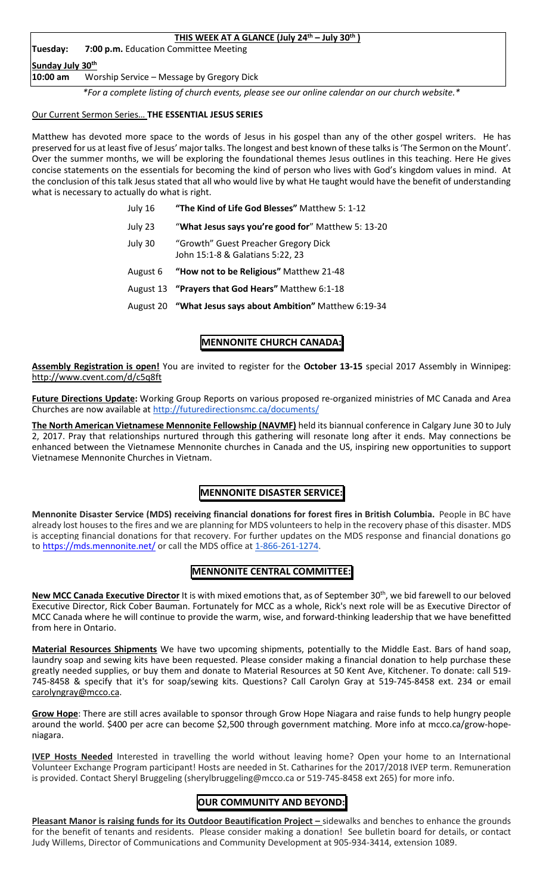| THIS WEEK AT A GLANCE (July $24th$ – July $30th$ ) |                                                                                                  |  |
|----------------------------------------------------|--------------------------------------------------------------------------------------------------|--|
| <b>Tuesday:</b>                                    | 7:00 p.m. Education Committee Meeting                                                            |  |
| Sunday July 30th                                   |                                                                                                  |  |
| 10:00 am                                           | Worship Service - Message by Gregory Dick                                                        |  |
|                                                    | *For a complete listing of church events, please see our online calendar on our church website.* |  |

#### Our Current Sermon Series… **THE ESSENTIAL JESUS SERIES**

Matthew has devoted more space to the words of Jesus in his gospel than any of the other gospel writers. He has preserved for us at least five of Jesus' major talks. The longest and best known of these talks is 'The Sermon on the Mount'. Over the summer months, we will be exploring the foundational themes Jesus outlines in this teaching. Here He gives concise statements on the essentials for becoming the kind of person who lives with God's kingdom values in mind. At the conclusion of this talk Jesus stated that all who would live by what He taught would have the benefit of understanding what is necessary to actually do what is right.

| July 16  | "The Kind of Life God Blesses" Matthew 5: 1-12                           |
|----------|--------------------------------------------------------------------------|
| July 23  | "What Jesus says you're good for" Matthew 5: 13-20                       |
| July 30  | "Growth" Guest Preacher Gregory Dick<br>John 15:1-8 & Galatians 5:22, 23 |
| August 6 | "How not to be Religious" Matthew 21-48                                  |
|          | August 13 "Prayers that God Hears" Matthew 6:1-18                        |
|          | August 20 "What Jesus says about Ambition" Matthew 6:19-34               |

## **MENNONITE CHURCH CANADA:**

**Assembly Registration is open!** You are invited to register for the **October 13-15** special 2017 Assembly in Winnipeg: http://www.cvent.com/d/c5q8ft

**Future Directions Update:** Working Group Reports on various proposed re-organized ministries of MC Canada and Area Churches are now available at http://futuredirectionsmc.ca/documents/

**The North American Vietnamese Mennonite Fellowship (NAVMF)** held its biannual conference in Calgary June 30 to July 2, 2017. Pray that relationships nurtured through this gathering will resonate long after it ends. May connections be enhanced between the Vietnamese Mennonite churches in Canada and the US, inspiring new opportunities to support Vietnamese Mennonite Churches in Vietnam.

# **MENNONITE DISASTER SERVICE:**

**Mennonite Disaster Service (MDS) receiving financial donations for forest fires in British Columbia.** People in BC have already lost houses to the fires and we are planning for MDS volunteers to help in the recovery phase of this disaster. MDS is accepting financial donations for that recovery. For further updates on the MDS response and financial donations go to https://mds.mennonite.net/ or call the MDS office at 1-866-261-1274.

## **MENNONITE CENTRAL COMMITTEE:**

**New MCC Canada Executive Director** It is with mixed emotions that, as of September 30<sup>th</sup>, we bid farewell to our beloved Executive Director, Rick Cober Bauman. Fortunately for MCC as a whole, Rick's next role will be as Executive Director of MCC Canada where he will continue to provide the warm, wise, and forward-thinking leadership that we have benefitted from here in Ontario.

**Material Resources Shipments** We have two upcoming shipments, potentially to the Middle East. Bars of hand soap, laundry soap and sewing kits have been requested. Please consider making a financial donation to help purchase these greatly needed supplies, or buy them and donate to Material Resources at 50 Kent Ave, Kitchener. To donate: call 519- 745-8458 & specify that it's for soap/sewing kits. Questions? Call Carolyn Gray at 519-745-8458 ext. 234 or email carolyngray@mcco.ca.

**Grow Hope**: There are still acres available to sponsor through Grow Hope Niagara and raise funds to help hungry people around the world. \$400 per acre can become \$2,500 through government matching. More info at mcco.ca/grow-hopeniagara.

**IVEP Hosts Needed** Interested in travelling the world without leaving home? Open your home to an International Volunteer Exchange Program participant! Hosts are needed in St. Catharines for the 2017/2018 IVEP term. Remuneration is provided. Contact Sheryl Bruggeling (sherylbruggeling@mcco.ca or 519-745-8458 ext 265) for more info.

## **OUR COMMUNITY AND BEYOND:**

**Pleasant Manor is raising funds for its Outdoor Beautification Project –** sidewalks and benches to enhance the grounds for the benefit of tenants and residents. Please consider making a donation! See bulletin board for details, or contact Judy Willems, Director of Communications and Community Development at 905-934-3414, extension 1089.